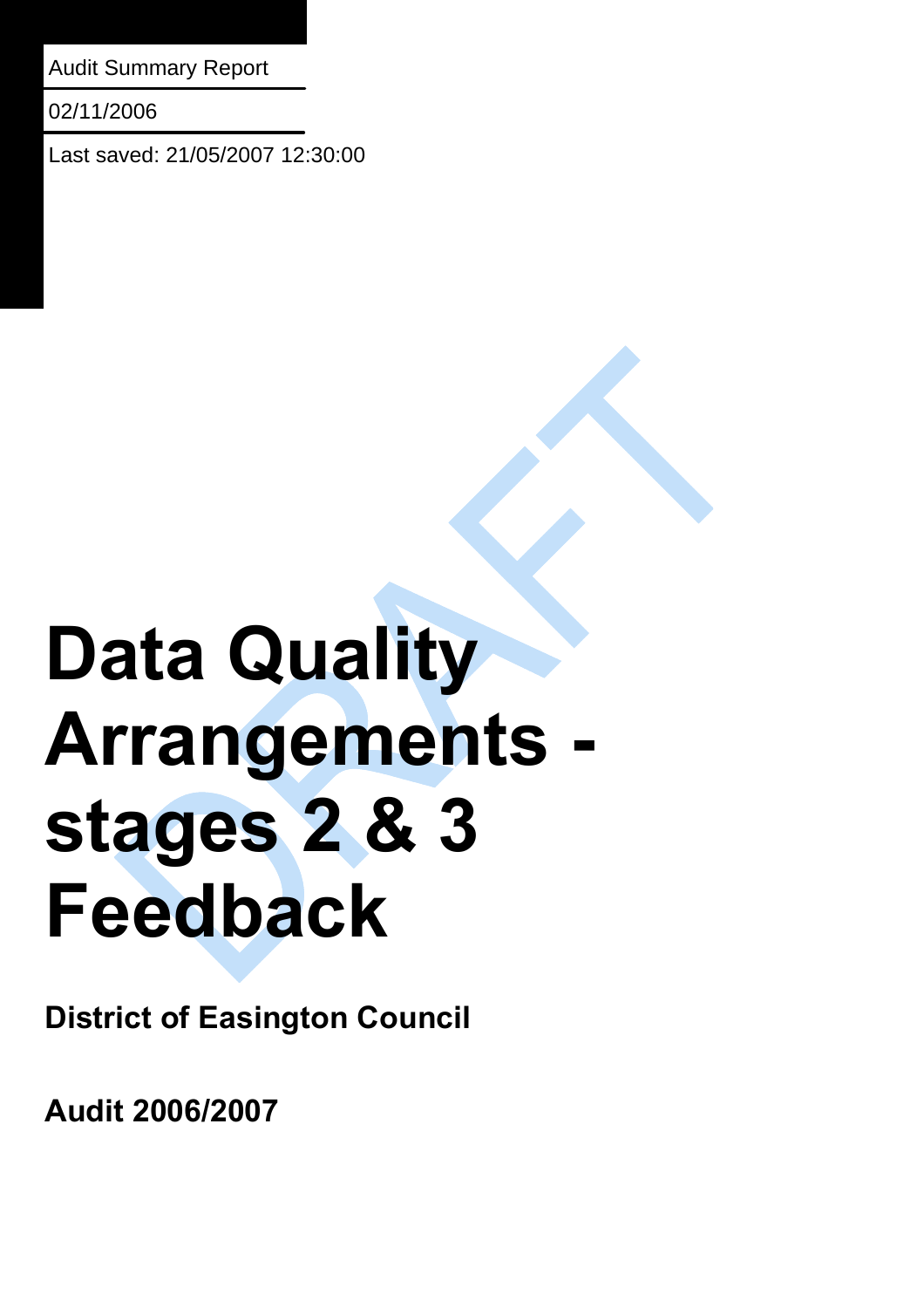Audit Summary Report

02/11/2006

Last saved: 21/05/2007 12:30:00

# **Data Quality Arrangements stages 2 & 3 Feedback**

**District of Easington Council** 

**Audit 2006/2007**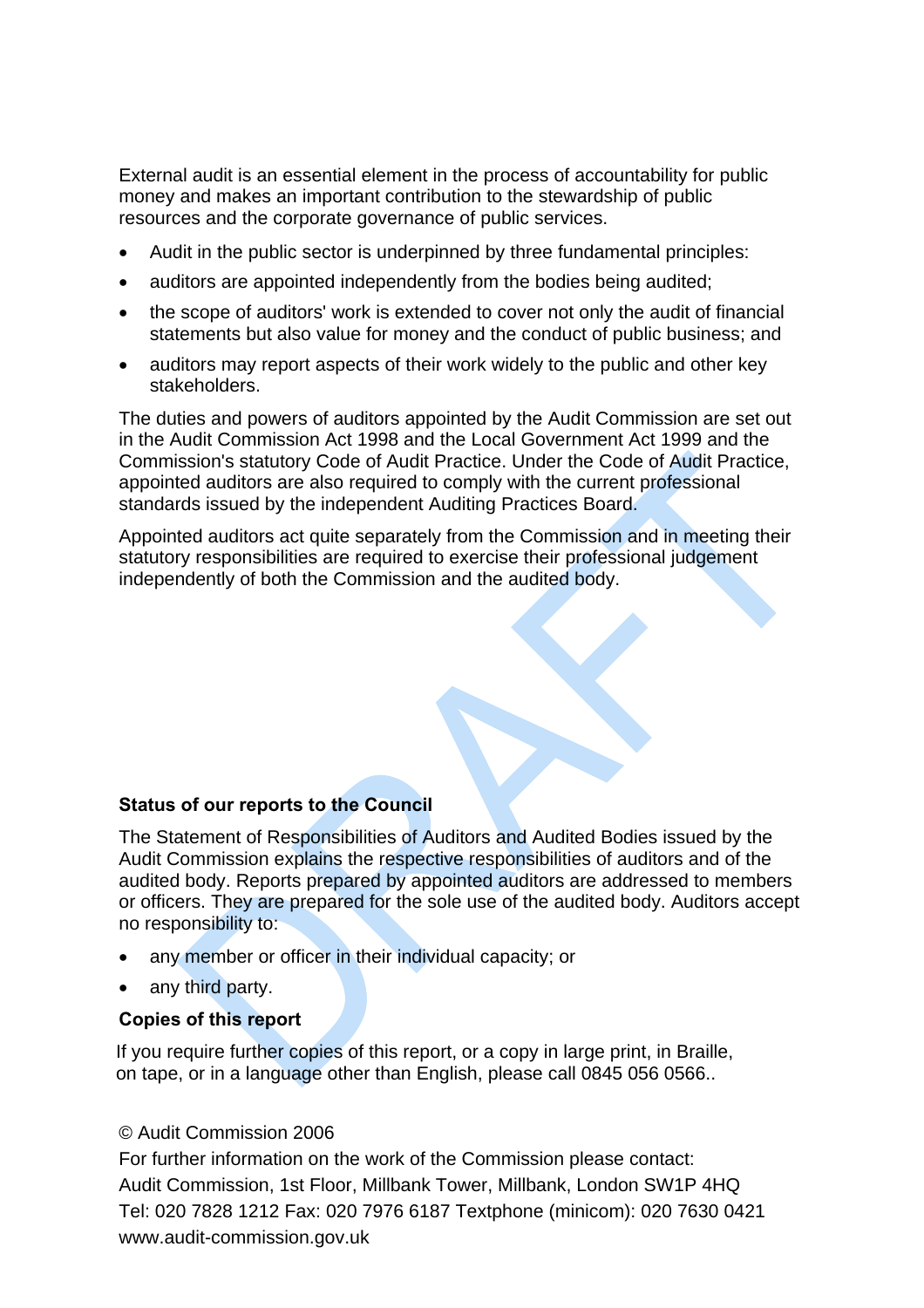External audit is an essential element in the process of accountability for public money and makes an important contribution to the stewardship of public resources and the corporate governance of public services.

- Audit in the public sector is underpinned by three fundamental principles:
- auditors are appointed independently from the bodies being audited;
- the scope of auditors' work is extended to cover not only the audit of financial statements but also value for money and the conduct of public business; and
- auditors may report aspects of their work widely to the public and other key stakeholders.

The duties and powers of auditors appointed by the Audit Commission are set out in the Audit Commission Act 1998 and the Local Government Act 1999 and the Commission's statutory Code of Audit Practice. Under the Code of Audit Practice, appointed auditors are also required to comply with the current professional standards issued by the independent Auditing Practices Board.

Appointed auditors act quite separately from the Commission and in meeting their statutory responsibilities are required to exercise their professional judgement independently of both the Commission and the audited body.

#### **Status of our reports to the Council**

The Statement of Responsibilities of Auditors and Audited Bodies issued by the Audit Commission explains the respective responsibilities of auditors and of the audited body. Reports prepared by appointed auditors are addressed to members or officers. They are prepared for the sole use of the audited body. Auditors accept no responsibility to:

- any member or officer in their individual capacity; or
- any third party.

#### **Copies of this report**

If you require further copies of this report, or a copy in large print, in Braille, on tape, or in a language other than English, please call 0845 056 0566..

#### © Audit Commission 2006

For further information on the work of the Commission please contact: Audit Commission, 1st Floor, Millbank Tower, Millbank, London SW1P 4HQ Tel: 020 7828 1212 Fax: 020 7976 6187 Textphone (minicom): 020 7630 0421 www.audit-commission.gov.uk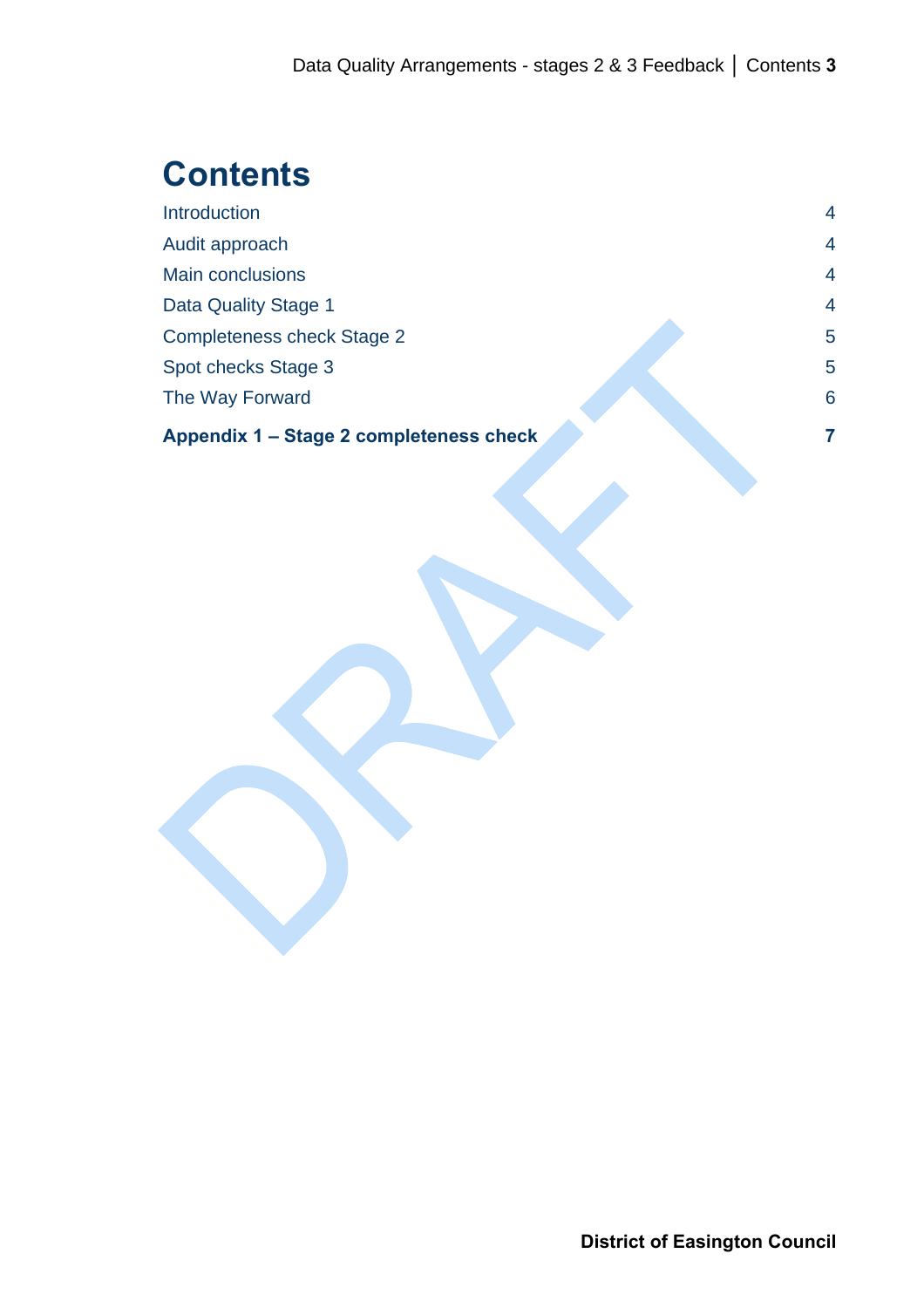# **Contents**

| Appendix 1 – Stage 2 completeness check | 7              |
|-----------------------------------------|----------------|
| The Way Forward                         | 6              |
| Spot checks Stage 3                     | 5              |
| <b>Completeness check Stage 2</b>       | 5              |
| Data Quality Stage 1                    | $\overline{4}$ |
| <b>Main conclusions</b>                 | $\overline{4}$ |
| Audit approach                          | 4              |
| Introduction                            | $\overline{4}$ |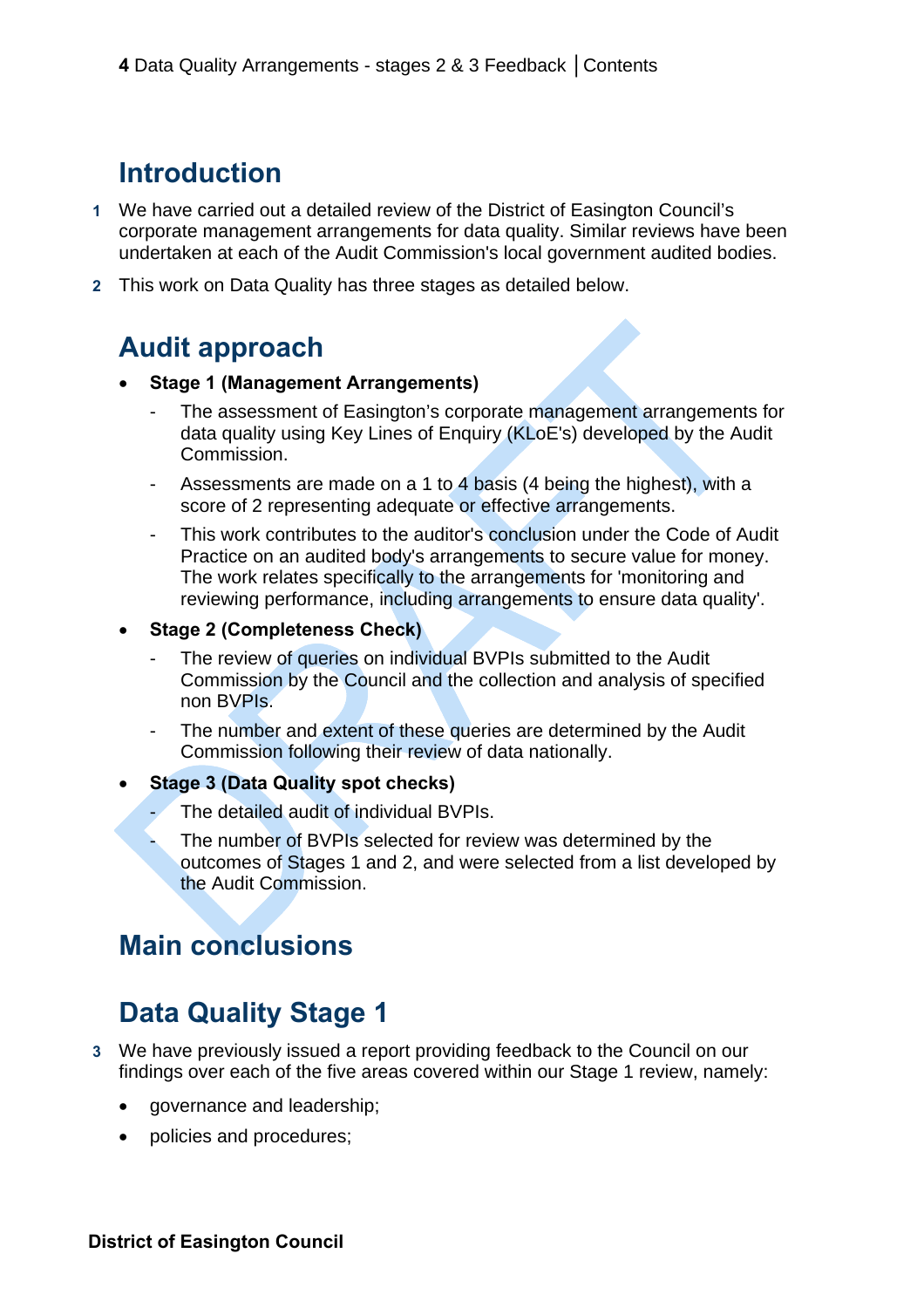## <span id="page-3-0"></span>**Introduction**

- **1** We have carried out a detailed review of the District of Easington Council's corporate management arrangements for data quality. Similar reviews have been undertaken at each of the Audit Commission's local government audited bodies.
- **2** This work on Data Quality has three stages as detailed below.

#### **Audit approach**

- **Stage 1 (Management Arrangements)** 
	- The assessment of Easington's corporate management arrangements for data quality using Key Lines of Enquiry (KLoE's) developed by the Audit Commission.
	- Assessments are made on a 1 to 4 basis (4 being the highest), with a score of 2 representing adequate or effective arrangements.
	- This work contributes to the auditor's conclusion under the Code of Audit Practice on an audited body's arrangements to secure value for money. The work relates specifically to the arrangements for 'monitoring and reviewing performance, including arrangements to ensure data quality'.
- **Stage 2 (Completeness Check)** 
	- The review of queries on individual BVPIs submitted to the Audit Commission by the Council and the collection and analysis of specified non BVPIs.
	- The number and extent of these queries are determined by the Audit Commission following their review of data nationally.
- **Stage 3 (Data Quality spot checks)** 
	- The detailed audit of individual BVPIs.
	- The number of BVPIs selected for review was determined by the outcomes of Stages 1 and 2, and were selected from a list developed by the Audit Commission.

#### **Main conclusions**

## **Data Quality Stage 1**

- **3** We have previously issued a report providing feedback to the Council on our findings over each of the five areas covered within our Stage 1 review, namely:
	- governance and leadership;
	- policies and procedures;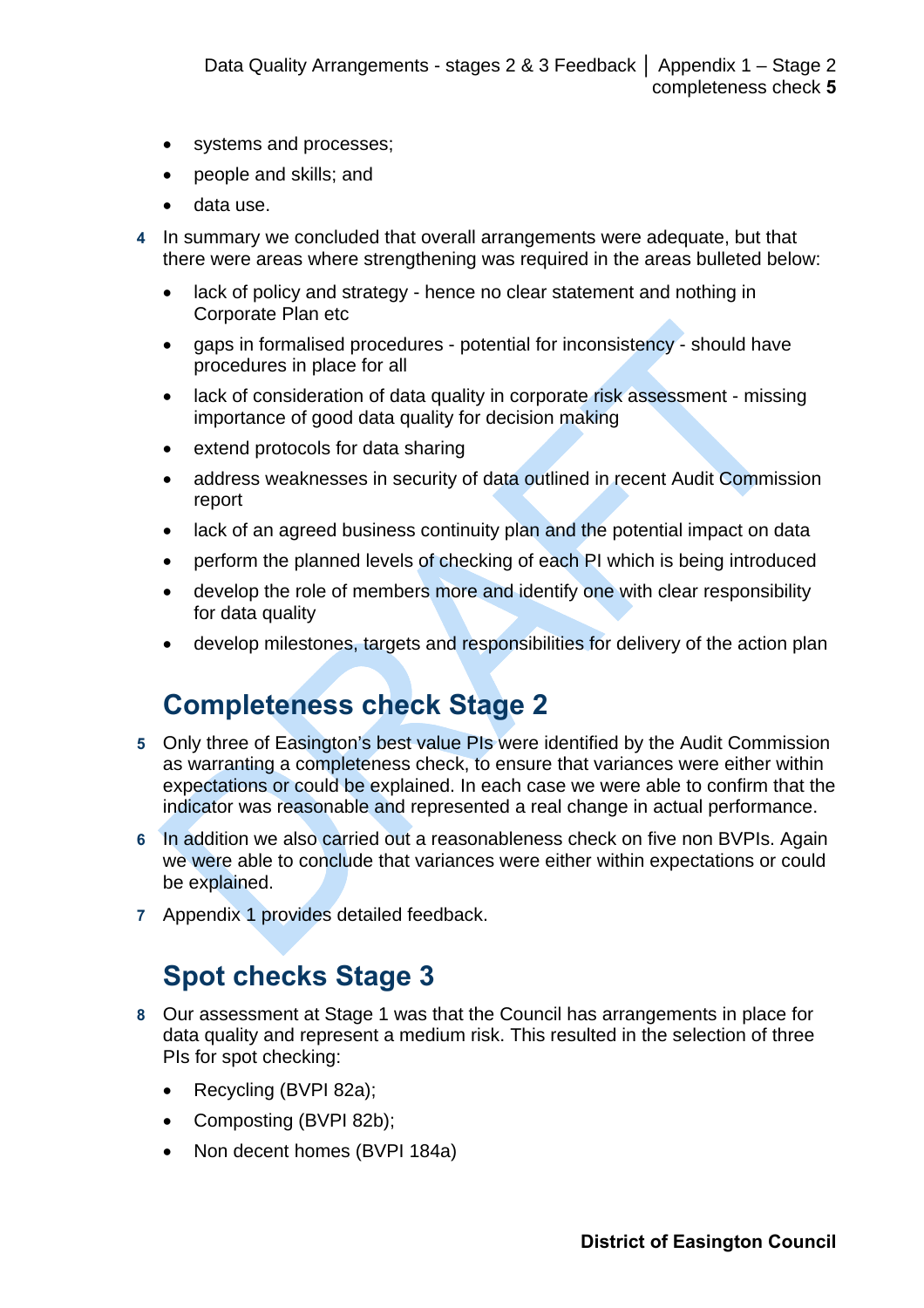- <span id="page-4-0"></span>• systems and processes;
- people and skills; and
- data use.
- **4** In summary we concluded that overall arrangements were adequate, but that there were areas where strengthening was required in the areas bulleted below:
	- lack of policy and strategy hence no clear statement and nothing in Corporate Plan etc
	- gaps in formalised procedures potential for inconsistency should have procedures in place for all
	- lack of consideration of data quality in corporate risk assessment missing importance of good data quality for decision making
	- extend protocols for data sharing
	- address weaknesses in security of data outlined in recent Audit Commission report
	- lack of an agreed business continuity plan and the potential impact on data
	- perform the planned levels of checking of each PI which is being introduced
	- develop the role of members more and identify one with clear responsibility for data quality
	- develop milestones, targets and responsibilities for delivery of the action plan

## **Completeness check Stage 2**

- **5** Only three of Easington's best value PIs were identified by the Audit Commission as warranting a completeness check, to ensure that variances were either within expectations or could be explained. In each case we were able to confirm that the indicator was reasonable and represented a real change in actual performance.
- **6** In addition we also carried out a reasonableness check on five non BVPIs. Again we were able to conclude that variances were either within expectations or could be explained.
- **7** Appendix 1 provides detailed feedback.

## **Spot checks Stage 3**

- **8** Our assessment at Stage 1 was that the Council has arrangements in place for data quality and represent a medium risk. This resulted in the selection of three PIs for spot checking:
	- Recycling (BVPI 82a);
	- Composting (BVPI 82b);
	- Non decent homes (BVPI 184a)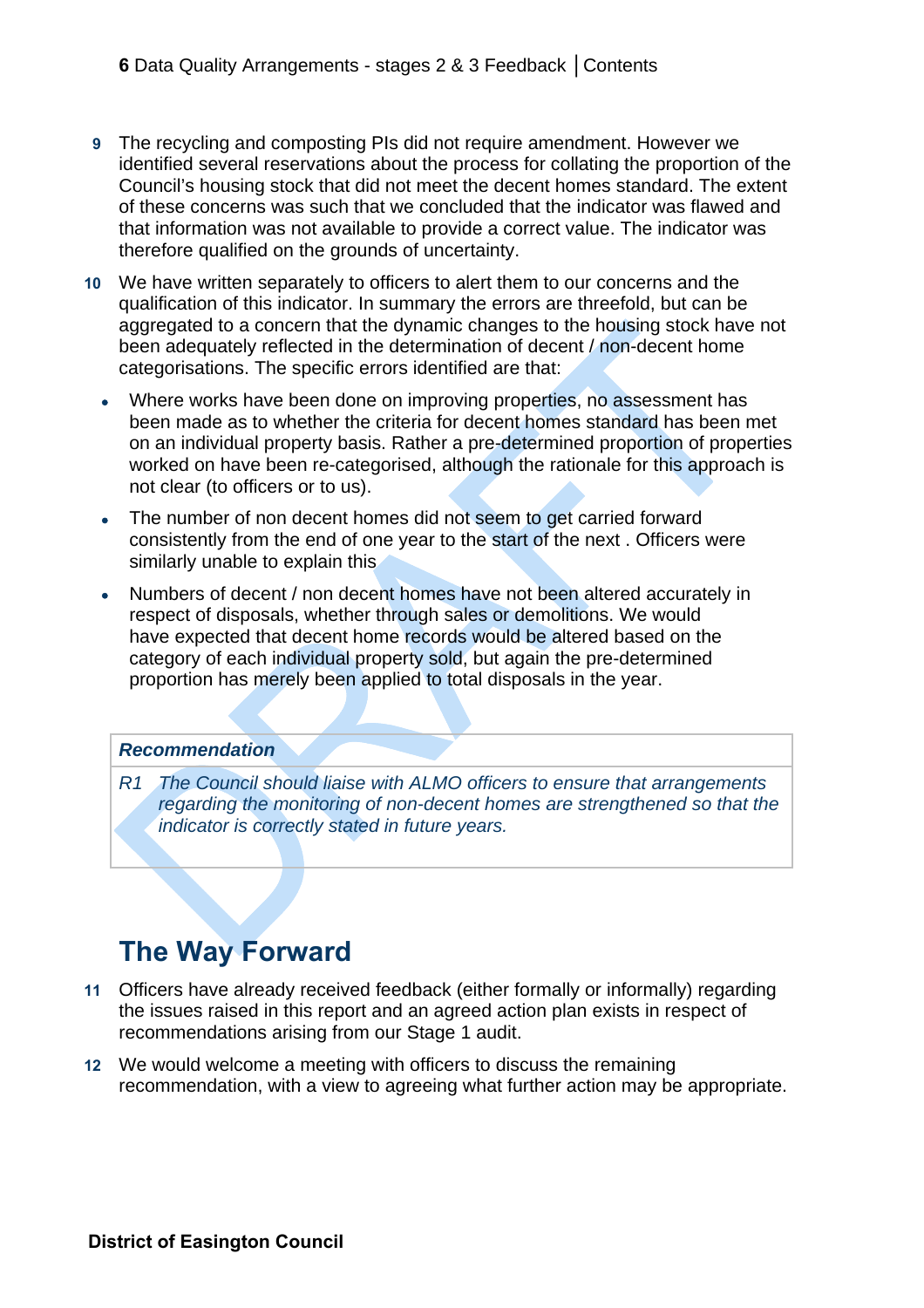- <span id="page-5-0"></span>**9** The recycling and composting PIs did not require amendment. However we identified several reservations about the process for collating the proportion of the Council's housing stock that did not meet the decent homes standard. The extent of these concerns was such that we concluded that the indicator was flawed and that information was not available to provide a correct value. The indicator was therefore qualified on the grounds of uncertainty.
- **10** We have written separately to officers to alert them to our concerns and the qualification of this indicator. In summary the errors are threefold, but can be aggregated to a concern that the dynamic changes to the housing stock have not been adequately reflected in the determination of decent / non-decent home categorisations. The specific errors identified are that:
	- Where works have been done on improving properties, no assessment has been made as to whether the criteria for decent homes standard has been met on an individual property basis. Rather a pre-determined proportion of properties worked on have been re-categorised, although the rationale for this approach is not clear (to officers or to us).
	- The number of non decent homes did not seem to get carried forward consistently from the end of one year to the start of the next . Officers were similarly unable to explain this
	- Numbers of decent / non decent homes have not been altered accurately in respect of disposals, whether through sales or demolitions. We would have expected that decent home records would be altered based on the category of each individual property sold, but again the pre-determined proportion has merely been applied to total disposals in the year.

#### *Recommendation*

*R1 The Council should liaise with ALMO officers to ensure that arrangements regarding the monitoring of non-decent homes are strengthened so that the indicator is correctly stated in future years.* 

#### **The Way Forward**

- **11** Officers have already received feedback (either formally or informally) regarding the issues raised in this report and an agreed action plan exists in respect of recommendations arising from our Stage 1 audit.
- **12** We would welcome a meeting with officers to discuss the remaining recommendation, with a view to agreeing what further action may be appropriate.